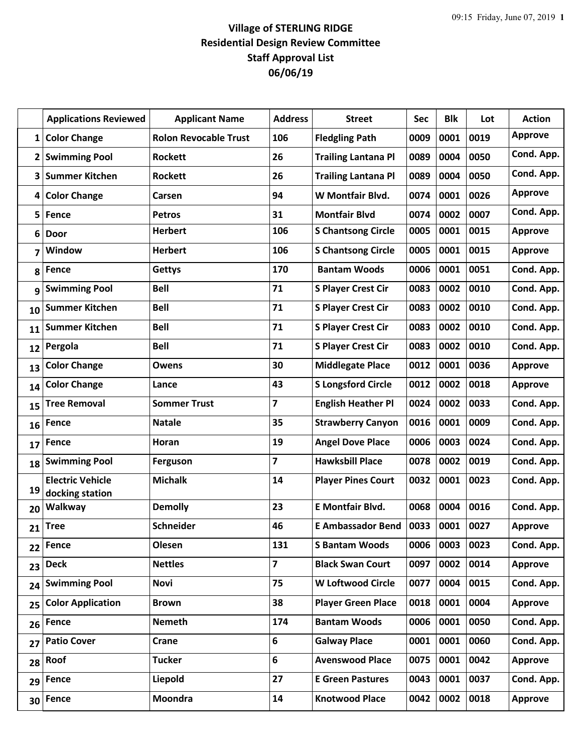## **Village of STERLING RIDGE Residential Design Review Committee Staff Approval List 06/06/19**

|              | <b>Applications Reviewed</b>               | <b>Applicant Name</b>        | <b>Address</b>          | <b>Street</b>              | <b>Sec</b> | <b>Blk</b> | Lot  | <b>Action</b>  |
|--------------|--------------------------------------------|------------------------------|-------------------------|----------------------------|------------|------------|------|----------------|
| $\mathbf{1}$ | <b>Color Change</b>                        | <b>Rolon Revocable Trust</b> | 106                     | <b>Fledgling Path</b>      | 0009       | 0001       | 0019 | <b>Approve</b> |
| $\mathbf{2}$ | <b>Swimming Pool</b>                       | <b>Rockett</b>               | 26                      | <b>Trailing Lantana Pl</b> | 0089       | 0004       | 0050 | Cond. App.     |
| 3            | <b>Summer Kitchen</b>                      | <b>Rockett</b>               | 26                      | <b>Trailing Lantana Pl</b> | 0089       | 0004       | 0050 | Cond. App.     |
| 4            | <b>Color Change</b>                        | Carsen                       | 94                      | W Montfair Blvd.           | 0074       | 0001       | 0026 | <b>Approve</b> |
| 5            | Fence                                      | <b>Petros</b>                | 31                      | <b>Montfair Blvd</b>       | 0074       | 0002       | 0007 | Cond. App.     |
| 6            | <b>Door</b>                                | <b>Herbert</b>               | 106                     | <b>S Chantsong Circle</b>  | 0005       | 0001       | 0015 | <b>Approve</b> |
| 7            | Window                                     | <b>Herbert</b>               | 106                     | <b>S Chantsong Circle</b>  | 0005       | 0001       | 0015 | <b>Approve</b> |
| 8            | Fence                                      | <b>Gettys</b>                | 170                     | <b>Bantam Woods</b>        | 0006       | 0001       | 0051 | Cond. App.     |
| 9            | <b>Swimming Pool</b>                       | <b>Bell</b>                  | 71                      | <b>S Player Crest Cir</b>  | 0083       | 0002       | 0010 | Cond. App.     |
| 10           | <b>Summer Kitchen</b>                      | <b>Bell</b>                  | 71                      | <b>S Player Crest Cir</b>  | 0083       | 0002       | 0010 | Cond. App.     |
| 11           | <b>Summer Kitchen</b>                      | <b>Bell</b>                  | 71                      | <b>S Player Crest Cir</b>  | 0083       | 0002       | 0010 | Cond. App.     |
| 12           | Pergola                                    | <b>Bell</b>                  | 71                      | <b>S Player Crest Cir</b>  | 0083       | 0002       | 0010 | Cond. App.     |
| 13           | <b>Color Change</b>                        | <b>Owens</b>                 | 30                      | <b>Middlegate Place</b>    | 0012       | 0001       | 0036 | <b>Approve</b> |
| 14           | <b>Color Change</b>                        | Lance                        | 43                      | <b>S Longsford Circle</b>  | 0012       | 0002       | 0018 | <b>Approve</b> |
| 15           | <b>Tree Removal</b>                        | <b>Sommer Trust</b>          | $\overline{7}$          | <b>English Heather Pl</b>  | 0024       | 0002       | 0033 | Cond. App.     |
| 16           | Fence                                      | <b>Natale</b>                | 35                      | <b>Strawberry Canyon</b>   | 0016       | 0001       | 0009 | Cond. App.     |
| 17           | Fence                                      | Horan                        | 19                      | <b>Angel Dove Place</b>    | 0006       | 0003       | 0024 | Cond. App.     |
| 18           | <b>Swimming Pool</b>                       | <b>Ferguson</b>              | $\overline{\mathbf{z}}$ | <b>Hawksbill Place</b>     | 0078       | 0002       | 0019 | Cond. App.     |
| 19           | <b>Electric Vehicle</b><br>docking station | <b>Michalk</b>               | 14                      | <b>Player Pines Court</b>  | 0032       | 0001       | 0023 | Cond. App.     |
| 20           | Walkway                                    | <b>Demolly</b>               | 23                      | <b>E</b> Montfair Blvd.    | 0068       | 0004       | 0016 | Cond. App.     |
| 21           | <b>Tree</b>                                | <b>Schneider</b>             | 46                      | <b>E Ambassador Bend</b>   | 0033       | 0001       | 0027 | <b>Approve</b> |
| 22           | <b>Fence</b>                               | Olesen                       | 131                     | <b>S Bantam Woods</b>      | 0006       | 0003       | 0023 | Cond. App.     |
| 23           | <b>Deck</b>                                | <b>Nettles</b>               | $\overline{\mathbf{z}}$ | <b>Black Swan Court</b>    | 0097       | 0002       | 0014 | <b>Approve</b> |
| 24           | <b>Swimming Pool</b>                       | <b>Novi</b>                  | 75                      | <b>W Loftwood Circle</b>   | 0077       | 0004       | 0015 | Cond. App.     |
| 25           | <b>Color Application</b>                   | <b>Brown</b>                 | 38                      | <b>Player Green Place</b>  | 0018       | 0001       | 0004 | Approve        |
| 26           | <b>Fence</b>                               | <b>Nemeth</b>                | 174                     | <b>Bantam Woods</b>        | 0006       | 0001       | 0050 | Cond. App.     |
| 27           | <b>Patio Cover</b>                         | Crane                        | 6                       | <b>Galway Place</b>        | 0001       | 0001       | 0060 | Cond. App.     |
| 28           | Roof                                       | <b>Tucker</b>                | 6                       | <b>Avenswood Place</b>     | 0075       | 0001       | 0042 | Approve        |
| 29           | <b>Fence</b>                               | Liepold                      | 27                      | <b>E Green Pastures</b>    | 0043       | 0001       | 0037 | Cond. App.     |
| 30           | <b>Fence</b>                               | <b>Moondra</b>               | 14                      | <b>Knotwood Place</b>      | 0042       | 0002       | 0018 | <b>Approve</b> |